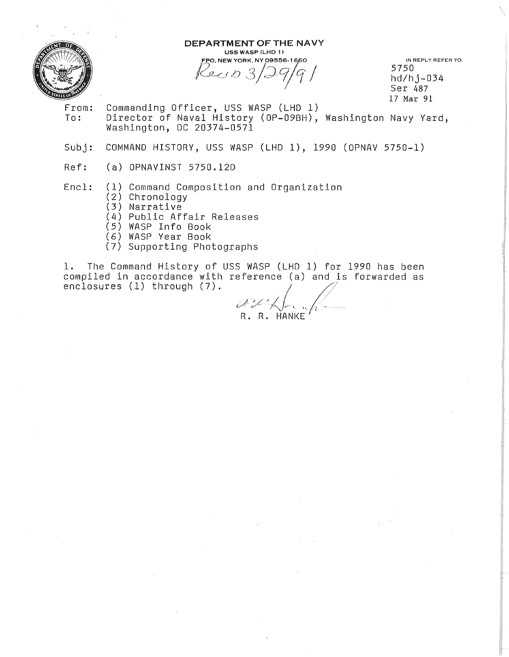

#### DEPARTMENT OF THE NAVY USS WASP (LHD 1)

FPO, NEW YORK, NY 09556-1660 Perio 3/29/9/

IN REPLY REFER TO: 5750 hd/hj-034 Ser <sup>487</sup> 17 Mar 91

- 
- From: Commanding Officer, USS WASP (LHD 1)<br>To: Director of Naval History (OP-09BH). Director of Naval History (OP-09BH), Washington Navy Yard, Washington, DC 20374-0571
- Subj: COMMAND HISTORY, USS WASP (LHD 1), 1990 (OPNAV 5750-1)
- Ref: (a) OPNAVINST 5750.12D

## Encl: (1) Command Composition and Organization

- (2) Chronology
- (3) Narrative
- (4) Public Affair Releases
- (5) WASP Info Book
- (6) WASP Year Book
- (7) Supporting Photographs

1. The Command History of USS WASP (LHD 1) for 1990 has been r. The command History of OSS wash (LAD 1) for 1990 has been<br>compiled in accordance with reference (a) and is forwarded as<br>enclosures (1) through (7).

R. R. HANKE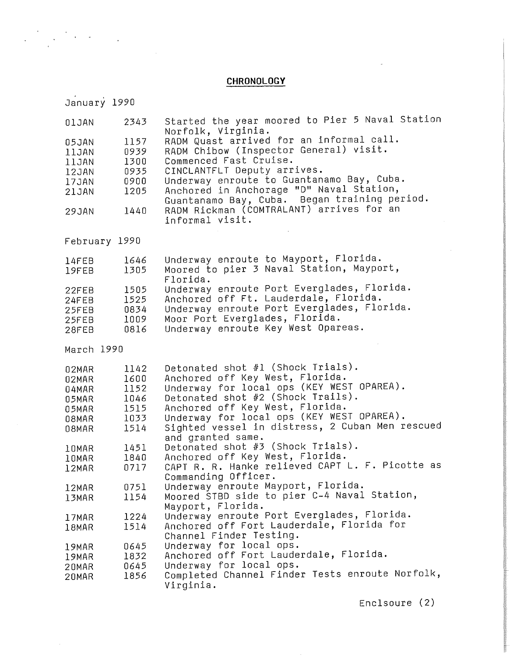# **CHRONOLOGY**

| January 1990  |      |                                                                                                             |
|---------------|------|-------------------------------------------------------------------------------------------------------------|
| 01JAN         | 2343 | Started the year moored to Pier 5 Naval Station<br>Norfolk, Virginia.                                       |
| 05JAN         | 1157 | RADM Quast arrived for an informal call.                                                                    |
| 11JAN         | 0939 | RADM Chibow (Inspector General) visit.                                                                      |
| 11JAN         | 1300 | Commenced Fast Cruise.                                                                                      |
| 12JAN         | 0935 | CINCLANTFLT Deputy arrives.                                                                                 |
| 17JAN         | 0900 | Underway enroute to Guantanamo Bay, Cuba.                                                                   |
| 21JAN         | 1205 | Anchored in Anchorage "D" Naval Station,                                                                    |
| 29JAN         | 1440 | Guantanamo Bay, Cuba. Began training period.<br>RADM Rickman (COMTRALANT) arrives for an<br>informal visit. |
| February 1990 |      |                                                                                                             |
| 14FEB         | 1646 | Underway enroute to Mayport, Florida.                                                                       |
| 19FEB         | 1305 | Moored to pier 3 Naval Station, Mayport,                                                                    |
|               |      | Florida.                                                                                                    |
| 22FEB         | 1505 | Underway enroute Port Everglades, Florida.                                                                  |
| 24FEB         | 1525 | Anchored off Ft. Lauderdale, Florida.                                                                       |
| 25FEB         | 0834 | Underway enroute Port Everglades, Florida.                                                                  |
| 25FEB         | 1009 | Moor Port Everglades, Florida.                                                                              |
| 28FEB         | 0816 | Underway enroute Key West Opareas.                                                                          |
| March 1990    |      |                                                                                                             |
| 02MAR         | 1142 | Detonated shot #1 (Shock Trials).                                                                           |
| 02MAR         | 1600 | Anchored off Key West, Florida.                                                                             |
| 04MAR         | 1152 | Underway for local ops (KEY WEST OPAREA).                                                                   |
| 05MAR         | 1046 | Detonated shot #2 (Shock Trails).                                                                           |
| 05MAR         | 1515 | Anchored off Key West, Florida.                                                                             |
| 08MAR         | 1033 | Underway for local ops (KEY WEST OPAREA).                                                                   |
| 08MAR         | 1514 | Sighted vessel in distress, 2 Cuban Men rescued                                                             |
|               |      | and granted same.                                                                                           |
| 10MAR         | 1451 | Detonated shot #3 (Shock Trials).                                                                           |
| 10MAR         | 1840 | Anchored off Key West, Florida.                                                                             |
| 12MAR         | 0717 | CAPT R. R. Hanke relieved CAPT L. F. Picotte as                                                             |
|               |      | Commanding Officer.                                                                                         |
| 12MAR         | 0751 | Underway enroute Mayport, Florida.<br>Moored STBD side to pier C-4 Naval Station,                           |
| 13MAR         | 1154 | Mayport, Florida.                                                                                           |
| 17MAR         | 1224 | Underway enroute Port Everglades, Florida.                                                                  |
| 18MAR         | 1514 | Anchored off Fort Lauderdale, Florida for                                                                   |
|               |      | Channel Finder Testing.                                                                                     |
| 19MAR         | 0645 | Underway for local ops.                                                                                     |
| 19MAR         | 1832 | Anchored off Fort Lauderdale, Florida.                                                                      |
| 20MAR         | 0645 | Underway for local ops.                                                                                     |
| 20MAR         | 1856 | Completed Channel Finder Tests enroute Norfolk,                                                             |
|               |      | Virginia.                                                                                                   |

Enclsoure (2)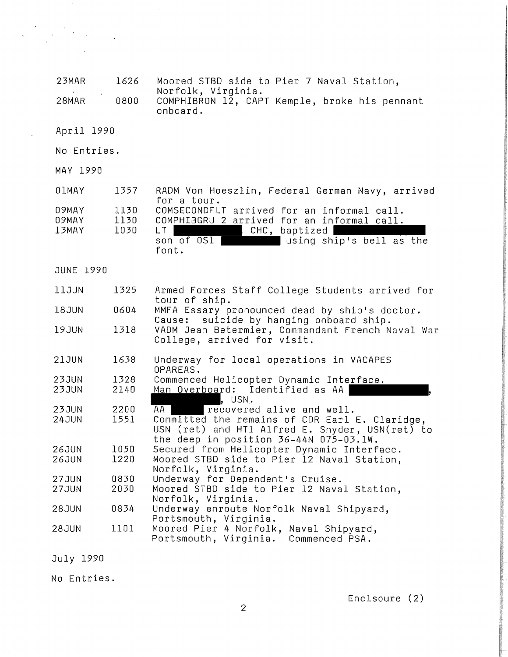| 23MAR                   | 1626                 | Moored STBD side to Pier 7 Naval Station,                                                                                                                                     |
|-------------------------|----------------------|-------------------------------------------------------------------------------------------------------------------------------------------------------------------------------|
|                         |                      | Norfolk, Virginia.                                                                                                                                                            |
| 28MAR                   | 0800                 | COMPHIBRON 12, CAPT Kemple, broke his pennant<br>onboard.                                                                                                                     |
| April 1990              |                      |                                                                                                                                                                               |
| No Entries.             |                      |                                                                                                                                                                               |
| MAY 1990                |                      |                                                                                                                                                                               |
| <b>OIMAY</b>            | 1357                 | RADM Von Hoeszlin, Federal German Navy, arrived<br>for a tour.                                                                                                                |
| 09MAY<br>09MAY<br>13MAY | 1130<br>1130<br>1030 | COMSECONDFLT arrived for an informal call.<br>COMPHIBGRU 2 arrived for an informal call.<br>LT  <br>, CHC, $b$ aptized $ $<br>son of OSI<br>using ship's bell as the<br>font. |
| JUNE 1990               |                      |                                                                                                                                                                               |
| 11JUN                   | 1325                 | Armed Forces Staff College Students arrived for<br>tour of ship.                                                                                                              |
| 18JUN                   | 0604                 | MMFA Essary pronounced dead by ship's doctor.<br>Cause: suicide by hanging onboard ship.                                                                                      |
| 19JUN                   | 1318                 | VADM Jean Betermier, Commandant French Naval War<br>College, arrived for visit.                                                                                               |
| <b>21JUN</b>            | 1638                 | Underway for local operations in VACAPES<br>OPAREAS.                                                                                                                          |
| <b>23JUN</b>            | 1328                 | Commenced Helicopter Dynamic Interface.                                                                                                                                       |
| <b>23JUN</b>            | 2140                 | Man Overboard: Identified as AA<br>, USN.                                                                                                                                     |
| <b>23JUN</b>            | 2200                 | AA I<br>recovered alive and well.                                                                                                                                             |
| <b>24JUN</b>            | 1551                 | Committed the remains of CDR Earl E. Claridge,<br>USN (ret) and HT1 Alfred E. Snyder, USN(ret) to<br>the deep in position 36-44N 075-03.1W.                                   |
| <b>26JUN</b>            | 1050                 | Secured from Helicopter Dynamic Interface.                                                                                                                                    |
| <b>26JUN</b>            | 1220                 | Moored STBD side to Pier 12 Naval Station,<br>Norfolk, Virginia.                                                                                                              |
| <b>27JUN</b>            | 0830                 | Underway for Dependent's Cruise.                                                                                                                                              |
| <b>27JUN</b>            | 2030                 | Moored STBD side to Pier 12 Naval Station,<br>Norfolk, Virginia.                                                                                                              |
| <b>28JUN</b>            | 0834                 | Underway enroute Norfolk Naval Shipyard,                                                                                                                                      |
| <b>28JUN</b>            | 1101                 | Portsmouth, Virginia.<br>Moored Pier 4 Norfolk, Naval Shipyard,<br>Portsmouth, Virginia.<br>Commenced PSA.                                                                    |

July 1990

 $\mathcal{L}_{\mathcal{A}}$ 

 $\label{eq:2} \frac{1}{2}\sum_{i=1}^n\frac{1}{2}\sum_{j=1}^n\frac{1}{2}\sum_{j=1}^n\frac{1}{2}\sum_{j=1}^n\frac{1}{2}\sum_{j=1}^n\frac{1}{2}\sum_{j=1}^n\frac{1}{2}\sum_{j=1}^n\frac{1}{2}\sum_{j=1}^n\frac{1}{2}\sum_{j=1}^n\frac{1}{2}\sum_{j=1}^n\frac{1}{2}\sum_{j=1}^n\frac{1}{2}\sum_{j=1}^n\frac{1}{2}\sum_{j=1}^n\frac{1}{2}\sum_{j=1}^n\frac{$ 

 $\bar{\lambda}$ 

 $\ddot{\phantom{a}}$ 

No Entries.

Enclsoure (2)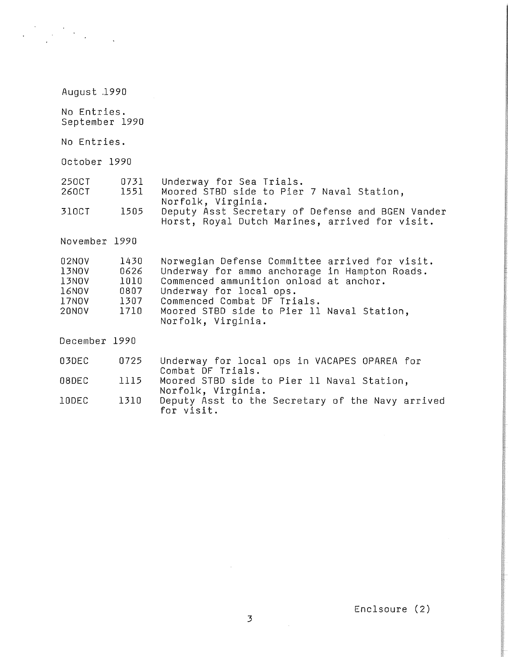| August 1990                                               |                                              |                                                                                                                                                                                                                                                                         |  |  |
|-----------------------------------------------------------|----------------------------------------------|-------------------------------------------------------------------------------------------------------------------------------------------------------------------------------------------------------------------------------------------------------------------------|--|--|
| No Entries.<br>September 1990                             |                                              |                                                                                                                                                                                                                                                                         |  |  |
| No Entries.                                               |                                              |                                                                                                                                                                                                                                                                         |  |  |
| October 1990                                              |                                              |                                                                                                                                                                                                                                                                         |  |  |
| 250CT<br>260CT                                            | 0731<br>1551                                 | Underway for Sea Trials.<br>Moored STBD side to Pier 7 Naval Station,                                                                                                                                                                                                   |  |  |
| 310CT                                                     | 1505                                         | Norfolk, Virginia.<br>Deputy Asst Secretary of Defense and BGEN Vander<br>Horst, Royal Dutch Marines, arrived for visit.                                                                                                                                                |  |  |
| November 1990                                             |                                              |                                                                                                                                                                                                                                                                         |  |  |
| 02NOV<br>13NOV<br>13NOV<br>16NOV<br>17NOV<br><b>20NOV</b> | 1430<br>0626<br>1010<br>0807<br>1307<br>1710 | Norwegian Defense Committee arrived for visit.<br>Underway for ammo anchorage in Hampton Roads.<br>Commenced ammunition onload at anchor.<br>Underway for local ops.<br>Commenced Combat DF Trials.<br>Moored STBD side to Pier 11 Naval Station,<br>Norfolk, Virginia. |  |  |
| December 1990                                             |                                              |                                                                                                                                                                                                                                                                         |  |  |
| 03DEC                                                     | 0725                                         | Underway for local ops in VACAPES OPAREA for                                                                                                                                                                                                                            |  |  |
| 08DEC                                                     | 1115                                         | Combat DF Trials.<br>Moored STBD side to Pier 11 Naval Station,<br>Norfolk, Virginia.<br>Deputy Asst to the Secretary of the Navy arrived<br>for visit.                                                                                                                 |  |  |
| 10DEC                                                     | 1310                                         |                                                                                                                                                                                                                                                                         |  |  |

Enclsoure (2)

 $\sim$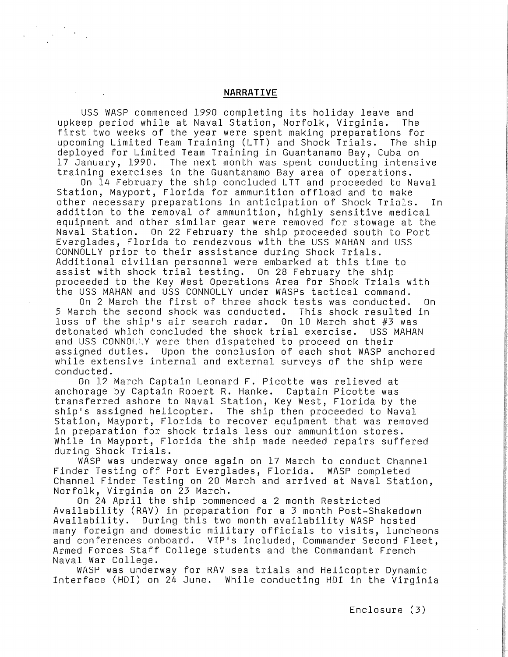## **NARRATIVE**

USS WASP commenced 1990 completing its holiday leave and upkeep period while at Naval Station, Norfolk, Virginia. first two weeks of the year were spent making preparations for upcoming Limited Team Training (LTT) and Shock Trials. The ship deployed for Limited Team Training in Guantanamo Bay, Cuba on 17 January, 1990. The next month was spent conducting intensive training exercises in the Guantanamo Bay area of operations.

On 14 February the ship concluded LTT and proceeded to Naval Station, Mayport, Florida for ammunition offload and to make other necessary preparations in anticipation of Shock Trials. In addition to the removal of ammunition, highly sensitive medical equipment and other similar gear were removed for stowage at the<br>Naval Station. On 22 February the ship proceeded south to Port On 22 February the ship proceeded south to Port Everglades, Florida to rendezvous with the USS MAHAN and USS CONNOLLY prior to their assistance during Shock Trials. Additional civilian personnel were embarked at this time to assist with shock trial testing. On 28 February the ship proceeded to the Key West Operations Area for Shock Trials with the USS MAHAN and USS CONNOLLY under WASPs tactical command.

On 2 March the first of three shock tests was conducted. On<br>rch the second shock was conducted. This shock resulted in 5 March the second shock was conducted. loss of the ship's air search radar. On 10 March shot  $#3$  was detonated which concluded the shock trial exercise. USS MAHAN and USS CONNOLLY were then dispatched to proceed on their assigned duties. Upon the conclusion of each shot WASP anchored while extensive internal and external surveys of the ship were conducted.

On 12 March Captain Leonard F. Picotte was relieved at anchorage by Captain Robert R. Hanke. Captain Picotte was transferred ashore to Naval Station, Key West, Florida by the ship's assigned helicopter. The ship then proceeded to Naval Station, Mayport, Florida to recover equipment that was removed in preparation for shock trials less our ammunition stores. While in Mayport, Florida the ship made needed repairs suffered during Shock Trials.

WASP was underway once again on 17 March to conduct Channel Finder Testing off Port Everglades, Florida. WASP completed Channel Finder Testing on 20 March and arrived at Naval Station, Norfolk, Virginia on 23 March.

On 24 April the ship commenced a 2 month Restricted Availability (RAV) in preparation for a 3 month Post-Shakedown Availability. During this two month availability WASP hosted many foreign and domestic military officials to visits, luncheons and conferences onboard. VIP's included, Commander Second Fleet, Armed Forces Staff College students and the Commandant French Naval War College.

WASP was underway for RAV sea trials and Helicopter Dynamic Interface (HDI) on 24 June. While conducting HDI in the Virginia

Enclosure (3)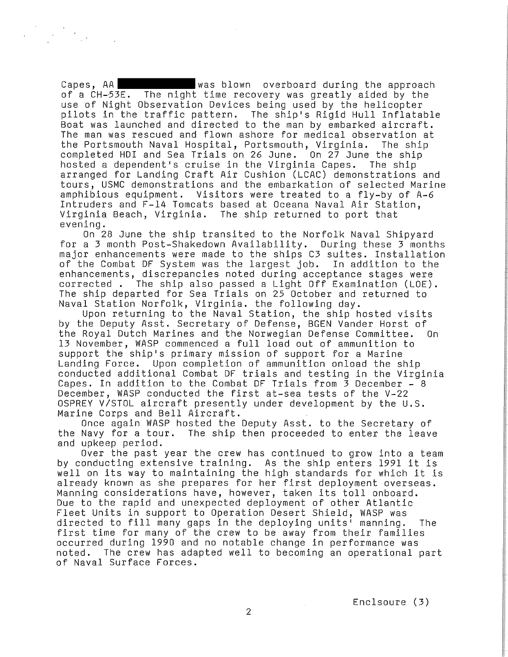Capes, AA **was blown** overboard during the approach of a CH-53E. The night time recovery was greatly aided by the use of Night Observation Devices being used by the helicopter pilots in the traffic pattern. The ship's Rigid Hull Inflatable Boat was launched and directed to the man by embarked aircraft. The man was rescued and flown ashore for medical observation at<br>the Portsmouth Naval Hospital, Portsmouth, Virginia. The ship the Portsmouth Naval Hospital, Portsmouth, Virginia. completed HDI and Sea Trials on 26 June. On 27 June the ship hosted a dependent's cruise in the Virginia Capes. The ship arranged for Landing Craft Air Cushion (LCAC) demonstrations and tours, USMC demonstrations and the embarkation of selected Marine amphibious equipment. Visitors were treated to a fly-by of A-6 Intruders and F-14 Tomcats based at Oceana Naval Air Station, Virginia Beach, Virginia. The ship returned to port that evening.

On 28 June the ship transited to the Norfolk Naval Shipyard for a 3 month Post-Shakedown Availability. During these 3 months major enhancements were made to the ships C3 suites. Installation of the Combat DF System was the largest job. In addition to the enhancements, discrepancies noted during acceptance stages were corrected . The ship also passed a Light Off Examination (LOE). The ship departed for Sea Trials on 25 October and returned to Naval Station Norfolk, Virginia. the following day.

Upon returning to the Naval Station, the ship hosted visits by the Deputy Asst. Secretary of Defense, BGEN Vander Horst of the Royal Dutch Marines and the Norwegian Defense Committee. On 13 November, WASP commenced a full load out of ammunition to support the ship's primary mission of support for a Marine Landing Force. Upon completion of ammunition onload the ship conducted additional Combat DF trials and testing in the Virginia Capes. In addition to the Combat DF Trials from 3 December - 8 December, WASP conducted the first at-sea tests of the V-22 OSPREY V/STOL aircraft presently under development by the U.S. Marine Corps and Bell Aircraft.

Once again WASP hosted the Deputy Asst. to the Secretary of the Navy for a tour. The ship then proceeded to enter the leave and upkeep period.

Over the past year the crew has continued to grow into a team by conducting extensive training. As the ship enters 1991 it is well on its way to maintaining the high standards for which it is already known as she prepares for her first deployment overseas. Manning considerations have, however, taken its toll onboard. Due to the rapid and unexpected deployment of other Atlantic Fleet Units in support to Operation Desert Shield, WASP was directed to fill many gaps in the deploying units' manning. The first time for many of the crew to be away from their families occurred during 1990 and no notable change in performance was noted. The crew has adapted well to becoming an operational part of Naval Surface Forces.

Enclsoure (3)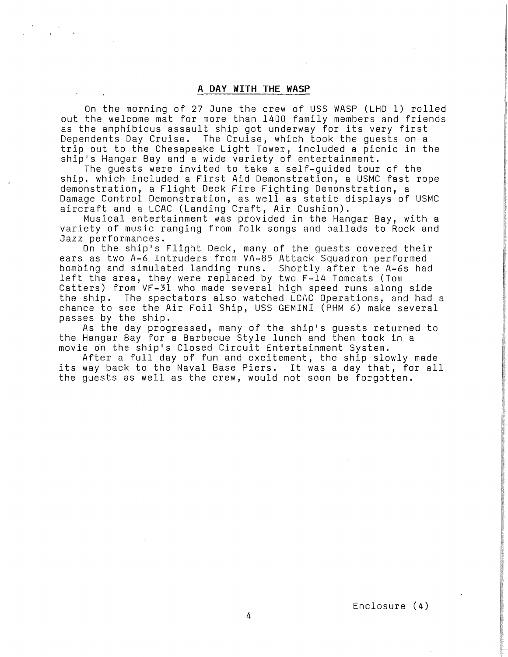### **A DAY WITH THE WASP**

On the morning of 27 June the crew of USS WASP (LHD 1) rolled out the welcome mat for more than 1400 family members and friends as the amphibious assault ship got underway for its very first Dependents Day Cruise. The Cruise, which took the guests on a trip out to the Chesapeake Light Tower, included a picnic in the ship's Hangar Bay and a wide variety of entertainment.

The guests were invited to take a self-guided tour of the ship. which included a First Aid Demonstration, a USMC fast rope demonstration, a Flight Deck Fire Fighting Demonstration, a Damage Control Demonstration, as well as static displays of USMC aircraft and a LCAC (Landing Craft, Air Cushion).

Musical entertainment was provided in the Hangar Bay, with a variety of music ranging from folk songs and ballads to Rock and Jazz performances.

On the ship's Flight Deck, many of the guests covered their ears as two A-6 Intruders from VA-85 Attack Squadron performed bombing and simulated landing runs. Shortly after the A-6s had left the area, they were replaced by two F-14 Tomcats (Tom Catters) from VF-31 who made several high speed runs along side the ship. The spectators also watched LCAC Operations, and had a chance to see the Air Foil Ship, USS GEMINI (PHM 6) make several passes by the ship.

As the day progressed, many of the ship's guests returned to the Hangar Bay for a Barbecue Style lunch and then took in a movie on the ship's Closed Circuit Entertainment System.

After a full day of fun and excitement, the ship slowly made its way back to the Naval Base Piers. It was a day that, for all the guests as well as the crew, would not soon be forgotten.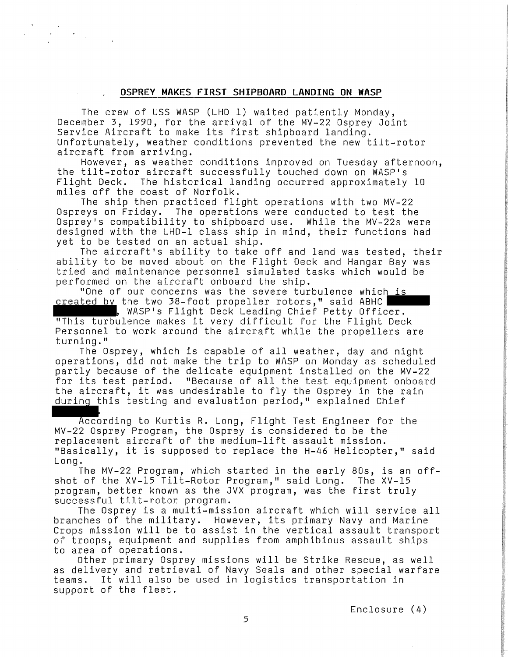## **OSPREY MAKES FIRST SHIPBOARD LANDING ON WASP**

The crew of USS WASP (LHD l) waited patiently Monday, December 3, 1990, for the arrival of the MV-22 Osprey Joint Service Aircraft to make its first shipboard landing. Unfortunately, weather conditions prevented the new tilt-rotor aircraft from arriving.

However, as weather conditions improved on Tuesday afternoon, the tilt-rotor aircraft successfully touched down on WASP's Flight Deck. The historical landing occurred approximately 10 miles off the coast of Norfolk.

The ship then practiced flight operations with two MV-22 Ospreys on Friday. The operations were conducted to test the Osprey's compatibility to shipboard use. While the MV-22s were designed with the LHD-1 class ship in mind, their functions had yet to be tested on an actual ship.

The aircraft's ability to take off and land was tested, their ability to be moved about on the Flight Deck and Hangar Bay was tried and maintenance personnel simulated tasks which would be performed on the aircraft onboard the ship. ability to be moved about on the Flight Deck and Hangar Bay<br>tried and maintenance personnel simulated tasks which would<br>performed on the aircraft onboard the ship.<br>"One of our concerns was the severe turbulence which is<br>cr

"One of our concerns was the severe turbulence which is

"This turbulence makes it very difficult for the Flight Deck Personnel to work around the aircraft while the propellers are turning."

The Osprey, which is capable of all weather, day and night operations, did not make the trip to WASP on Monday as scheduled partly because of the delicate equipment installed on the MV-22 for its test period. "Because of all the test equipment onboard the aircraft, it was undesirable to fly the Osprey in the rain ...<br>during this testing and evaluation period," explained Chief

According to Kurtis R. Long, Flight Test Engineer for the MV-22 Osprey Program, the Osprey is considered to be the replacement aircraft of the medium-lift assault mission. "Basically, it is supposed to replace the H-46 Helicopter," said Long.

.<br>The MV–22 Program, which started in the early 80s, is an off– shot of the XV-15 Tilt-Rotor Program," said Long. The XV-15 program, better known as the JVX program, was the first truly successful tilt-rotor program.

The Osprey is a multi-mission aircraft which will service all branches of the military. However, its primary Navy and Marine Crops mission will be to assist in the vertical assault transport of troops, equipment and supplies from amphibious assault ships to area of operations.

Other primary Osprey missions will be Strike Rescue, as well as delivery and retrieval of Navy Seals and other special warfare teams. It will also be used in logistics transportation in support of the fleet.

Enclosure (4)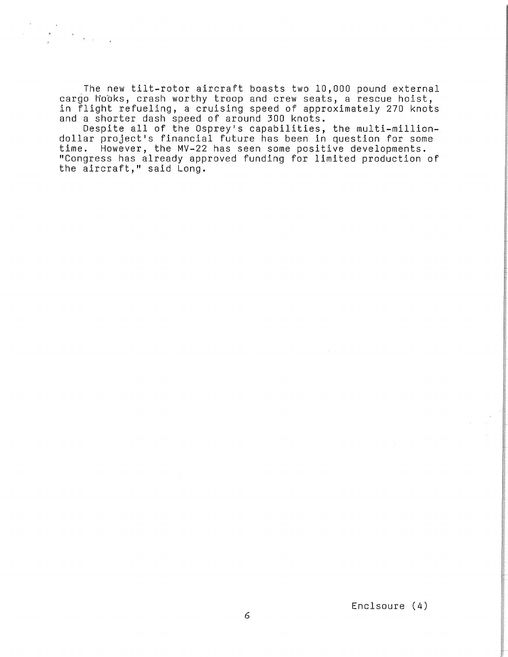The new tilt-rotor aircraft boasts two 10,000 pound external cargo hooks, crash worthy troop and crew seats, a rescue hoist, in flight refueling, a cruising speed of approximately 270 knots and a shorter dash speed of around 300 knots.

Despite all of the Osprey's capabilities, the multi-milliondollar project's financial future has been in question for some time. However, the MV-22 has seen some positive developments. "Congress has already approved funding for limited production of the aircraft," said Long.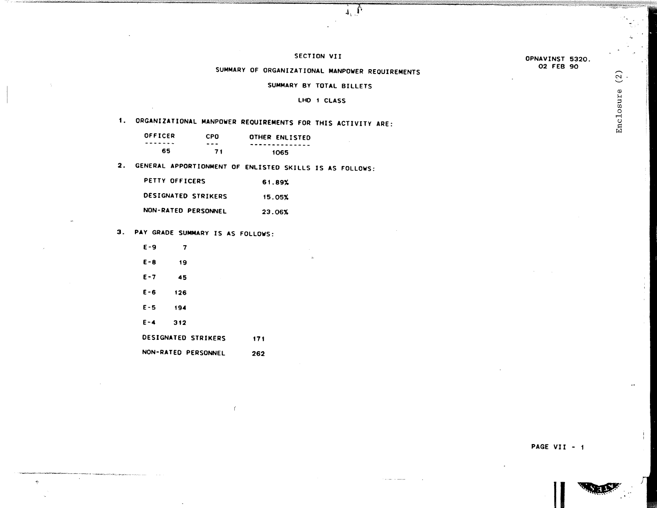#### OPNAVINST 5320. 02 FEB 90

### SECTION VII

 $\mathbf{1} \oplus \mathbf{0}$ 

## SUMMARY OF ORGANIZATIONAL MANPOWER REQUIREMENTS

SUMMARY BY TOTAL BILLETS

#### LHO 1 CLASS

# 1. ORGANIZATIONAL MANPOWER REQUIREMENTS FOR THIS ACTIVITY ARE:

| <b>OFFICER</b> | <b>CPO</b> | OTHER ENLISTED |
|----------------|------------|----------------|
| -------        | ---        | -------------- |
| 65.            | 71         | 1065           |

2. GENERAL APPORTIONMENT OF ENLISTED SKILLS IS AS FOLLOWS:

| PETTY OFFICERS      | 61.89% |
|---------------------|--------|
| DESIGNATED STRIKERS | 15.05% |
| NON-RATED PERSONNEL | 23.06% |

## 3. PAY GRADE SUMMARY IS AS FOLLOWS:

| E - 9   | 7   |                     |     |
|---------|-----|---------------------|-----|
| $E - B$ | 19  |                     |     |
| $E - 7$ | 45  | ł                   |     |
| $E - 6$ | 126 |                     |     |
| $E - 5$ | 194 |                     |     |
| $E - 4$ | 312 |                     |     |
|         |     | DESIGNATED STRIKERS | 171 |

NON-RATED PERSONNEL 262

PAGE VII - 1

 $\blacksquare$ 

 $\sim$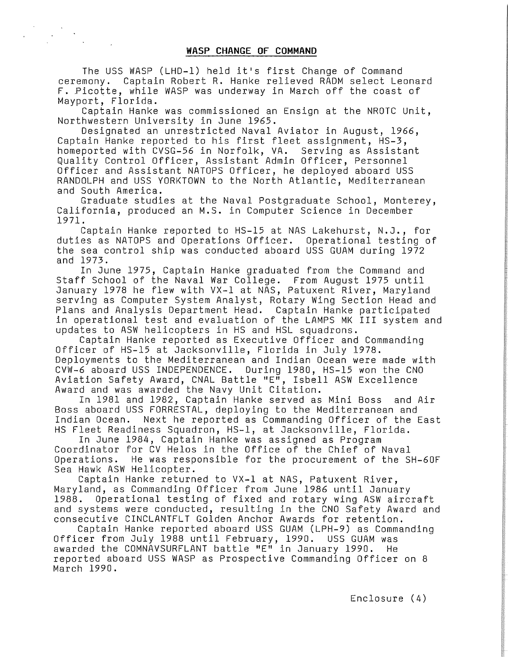The USS WASP (LHD-1) held it's first Change of Command ceremony. Captain Robert R. Hanke relieved RADM select Leonard F. Picotte, while WASP was underway in March off the coast of Mayport, Florida.

Captain Hanke was commissioned an Ensign at the NROTC Unit, Northwestern University in June 1965.

Designated an unrestricted Naval Aviator in August, 1966, Captain Hanke reported to his first fleet assignment, HS-3, homeported with CVSG-56 in Norfolk, VA. Serving as Assistant Quality Control Officer, Assistant Admin Officer, Personnel Officer and Assistant NATOPS Officer, he deployed aboard USS RANDOLPH and USS YORKTOWN to the North Atlantic, Mediterranean and South America.

Graduate studies at the Naval Postgraduate School, Monterey, California, produced an M.S. in Computer Science in December 1971.

Captain Hanke reported to HS-15 at NAS Lakehurst, N.J., for duties as NATOPS and Operations Officer. Operational testing of the sea control ship was conducted aboard USS GUAM during 1972 and 1973.

In June 1975, Captain Hanke graduated from the Command and Staff School of the Naval War College. From August 1975 until January 1978 he flew with VX-1 at NAS, Patuxent River, Maryland serving as Computer System Analyst, Rotary Wing Section Head and Plans and Analysis Department Head. Captain Hanke participated in operational test and evaluation of the LAMPS MK III system and updates to ASW helicopters in HS and HSL squadrons.

Captain Hanke reported as Executive Officer and Commanding Officer of HS-15 at Jacksonville, Florida in July 1978. Deployments to the Mediterranean and Indian Ocean were made with CVW-6 aboard USS INDEPENDENCE. During 1980, HS-15 won the CNO Aviation Safety Award, CNAL Battle "E", Isbell ASW Excellence Award and was awarded the Navy Unit Citation.

In 1981 and 1982, Captain Hanke served as Mini Boss and Air Boss aboard USS FORRESTAL, deploying to the Mediterranean and Indian Ocean. Next he reported as Commanding Officer of the East HS Fleet Readiness Squadron, HS-1, at Jacksonville, Florida.

In June 1984, Captain Hanke was assigned as Program Coordinator for CV Helos in the Office of the Chief of Naval Operations. He was responsible for the procurement of the SH-60F Sea Hawk ASW Helicopter.

Captain Hanke returned to VX-1 at NAS, Patuxent River, Maryland, as Commanding Officer from June 1986 until January 1988. Operational testing of fixed and rotary wing ASW aircraft and systems were conducted, resulting in the CNO Safety Award and consecutive CINCLANTFLT Golden Anchor Awards for retention.

Captain Hanke reported aboard USS GUAM (LPH-9) as Commanding Officer from July 1988 until February, 1990. USS GUAM was awarded the COMNAVSURFLANT battle "E" in January 1990. He reported aboard USS WASP as Prospective Commanding Officer on 8 March 1990.

Enclosure (4)